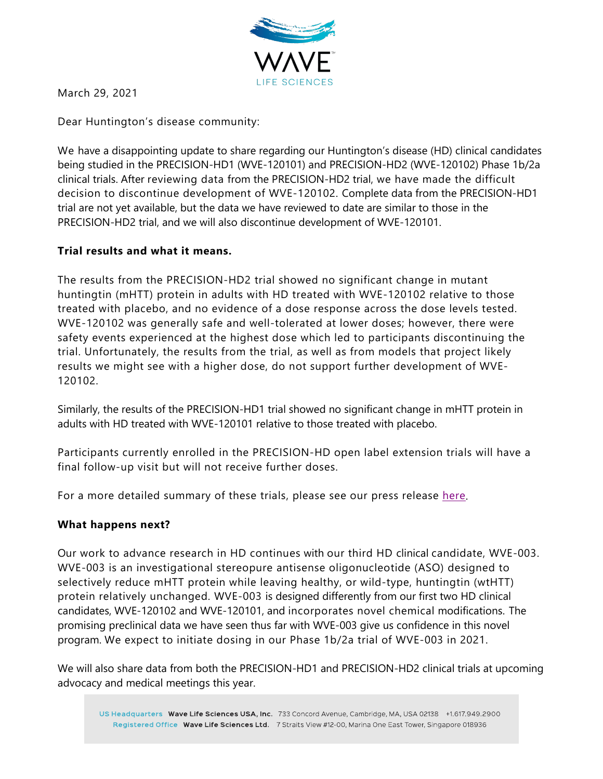

March 29, 2021

Dear Huntington's disease community:

We have a disappointing update to share regarding our Huntington's disease (HD) clinical candidates being studied in the PRECISION-HD1 (WVE-120101) and PRECISION-HD2 (WVE-120102) Phase 1b/2a clinical trials. After reviewing data from the PRECISION-HD2 trial, we have made the difficult decision to discontinue development of WVE-120102. Complete data from the PRECISION-HD1 trial are not yet available, but the data we have reviewed to date are similar to those in the PRECISION-HD2 trial, and we will also discontinue development of WVE-120101.

# **Trial results and what it means.**

The results from the PRECISION-HD2 trial showed no significant change in mutant huntingtin (mHTT) protein in adults with HD treated with WVE-120102 relative to those treated with placebo, and no evidence of a dose response across the dose levels tested. WVE-120102 was generally safe and well-tolerated at lower doses; however, there were safety events experienced at the highest dose which led to participants discontinuing the trial. Unfortunately, the results from the trial, as well as from models that project likely results we might see with a higher dose, do not support further development of WVE-120102.

Similarly, the results of the PRECISION-HD1 trial showed no significant change in mHTT protein in adults with HD treated with WVE-120101 relative to those treated with placebo.

Participants currently enrolled in the PRECISION-HD open label extension trials will have a final follow-up visit but will not receive further doses.

For a more detailed summary of these trials, please see our press release [here.](https://ir.wavelifesciences.com/news-releases/news-release-details/wave-life-sciences-provides-update-phase-1b2a-precision-hd)

## **What happens next?**

Our work to advance research in HD continues with our third HD clinical candidate, WVE-003. WVE-003 is an investigational stereopure antisense oligonucleotide (ASO) designed to selectively reduce mHTT protein while leaving healthy, or wild-type, huntingtin (wtHTT) protein relatively unchanged. WVE-003 is designed differently from our first two HD clinical candidates, WVE-120102 and WVE-120101, and incorporates novel chemical modifications. The promising preclinical data we have seen thus far with WVE-003 give us confidence in this novel program. We expect to initiate dosing in our Phase 1b/2a trial of WVE-003 in 2021.

We will also share data from both the PRECISION-HD1 and PRECISION-HD2 clinical trials at upcoming advocacy and medical meetings this year.

US Headquarters Wave Life Sciences USA, Inc. 733 Concord Avenue, Cambridge, MA, USA 02138 +1.617.949.2900 Registered Office Wave Life Sciences Ltd. 7 Straits View #12-00, Marina One East Tower, Singapore 018936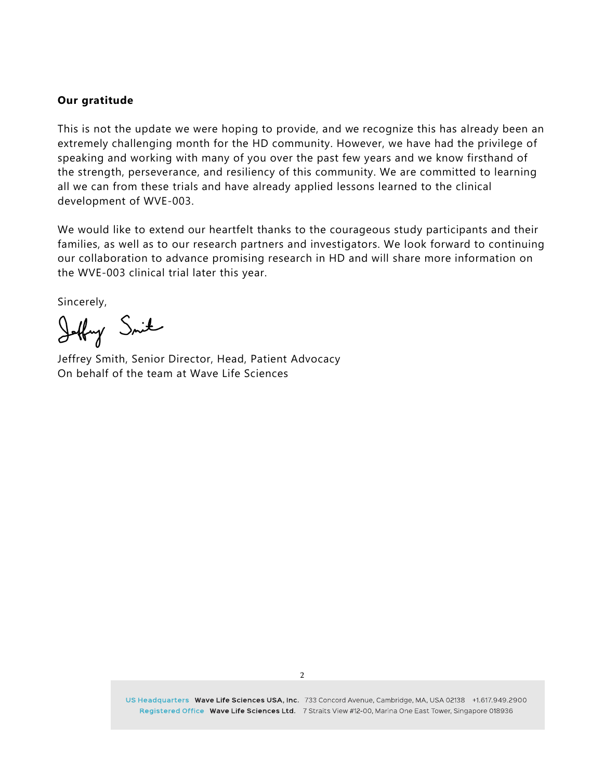#### **Our gratitude**

This is not the update we were hoping to provide, and we recognize this has already been an extremely challenging month for the HD community. However, we have had the privilege of speaking and working with many of you over the past few years and we know firsthand of the strength, perseverance, and resiliency of this community. We are committed to learning all we can from these trials and have already applied lessons learned to the clinical development of WVE-003.

We would like to extend our heartfelt thanks to the courageous study participants and their families, as well as to our research partners and investigators. We look forward to continuing our collaboration to advance promising research in HD and will share more information on the WVE-003 clinical trial later this year.

Sincerely,

Jeffry Smith

Jeffrey Smith, Senior Director, Head, Patient Advocacy On behalf of the team at Wave Life Sciences

US Headquarters Wave Life Sciences USA, Inc. 733 Concord Avenue, Cambridge, MA, USA 02138 +1.617.949.2900 Registered Office Wave Life Sciences Ltd. 7 Straits View #12-00, Marina One East Tower, Singapore 018936